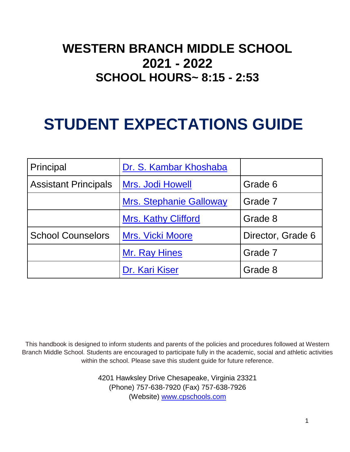### **WESTERN BRANCH MIDDLE SCHOOL 2021 - 2022 SCHOOL HOURS~ 8:15 - 2:53**

### **STUDENT EXPECTATIONS GUIDE**

| Principal                   | Dr. S. Kambar Khoshaba         |                   |
|-----------------------------|--------------------------------|-------------------|
| <b>Assistant Principals</b> | Mrs. Jodi Howell               | Grade 6           |
|                             | <b>Mrs. Stephanie Galloway</b> | Grade 7           |
|                             | <b>Mrs. Kathy Clifford</b>     | Grade 8           |
| <b>School Counselors</b>    | <b>Mrs. Vicki Moore</b>        | Director, Grade 6 |
|                             | Mr. Ray Hines                  | Grade 7           |
|                             | Dr. Kari Kiser                 | Grade 8           |

This handbook is designed to inform students and parents of the policies and procedures followed at Western Branch Middle School. Students are encouraged to participate fully in the academic, social and athletic activities within the school. Please save this student guide for future reference.

> 4201 Hawksley Drive Chesapeake, Virginia 23321 (Phone) 757-638-7920 (Fax) 757-638-7926 (Website) [www.cpschools.com](http://www.cpschools.com/)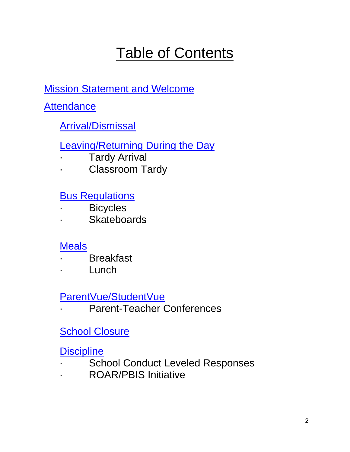### Table of Contents

[Mission Statement and Welcome](#page-4-0)

**[Attendance](#page-5-0)** 

### [Arrival/Dismissal](#page-6-0)

[Leaving/Returning During the Day](#page-7-0)

- **Tardy Arrival**
- · Classroom Tardy

[Bus Regulations](#page-8-0)

- · Bicycles
- · Skateboards

### **[Meals](#page-9-0)**

- **Breakfast**
- · Lunch

[ParentVue/StudentVue](#page-10-0)

Parent-Teacher Conferences

### **[School Closure](#page-11-0)**

**[Discipline](#page-11-1)** 

- School Conduct Leveled Responses
- · ROAR/PBIS Initiative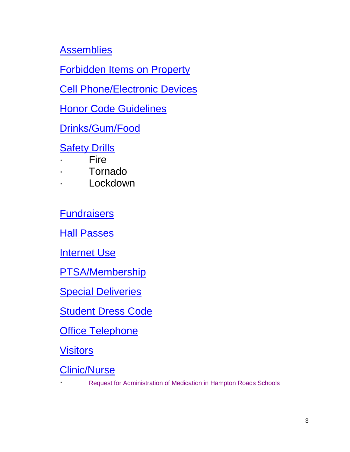**[Assemblies](#page-16-0)** 

[Forbidden Items on Property](#page-16-1)

[Cell Phone/Electronic Devices](#page-16-2)

[Honor Code Guidelines](#page-17-0)

[Drinks/Gum/Food](#page-19-0)

**[Safety Drills](#page-19-1)** 

- **Fire**
- · Tornado
- **Lockdown**

**[Fundraisers](#page-20-0)** 

**[Hall Passes](#page-20-1)** 

**[Internet Use](#page-21-0)** 

[PTSA/Membership](#page-21-1)

**[Special Deliveries](#page-21-2)** 

[Student Dress Code](#page-22-0)

**Office [Telephone](#page-23-0)** 

**[Visitors](#page-23-1)** 

[Clinic/Nurse](#page-25-0)

**[Request for Administration of Medication in Hampton Roads Schools](https://cpschools.com/student-support-services/wp-content/uploads/sites/8/2020/01/Administration_of_Medication_by_School_Accessible.pdf)**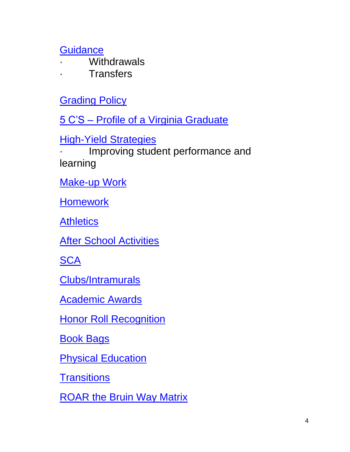**[Guidance](#page-25-1)** 

- **Withdrawals**
- **Transfers**

**[Grading Policy](#page-26-0)** 

5 C'S – [Profile of a Virginia Graduate](#page-27-0)

[High-Yield Strategies](#page-27-1)

Improving student performance and learning

[Make-up Work](#page-28-0)

**[Homework](#page-29-0)** 

**[Athletics](#page-29-1)** 

**[After School Activities](#page-30-0)** 

**[SCA](#page-30-1)** 

[Clubs/Intramurals](#page-30-2)

[Academic Awards](#page-31-0)

**[Honor Roll Recognition](#page-31-1)** 

[Book Bags](#page-31-2)

**[Physical Education](#page-32-0)** 

**[Transitions](#page-32-1)** 

[ROAR the Bruin Way Matrix](#page-33-0)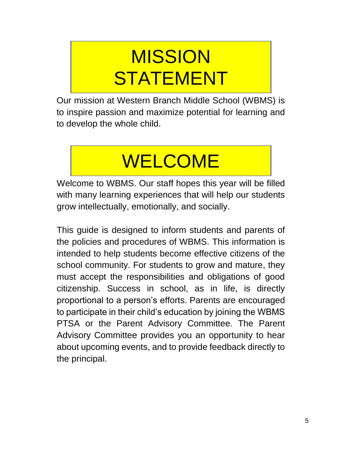# <span id="page-4-0"></span>MISSION **STATEMENT**

Our mission at Western Branch Middle School (WBMS) is to inspire passion and maximize potential for learning and to develop the whole child.

# WELCOME

Welcome to WBMS. Our staff hopes this year will be filled with many learning experiences that will help our students grow intellectually, emotionally, and socially.

This guide is designed to inform students and parents of the policies and procedures of WBMS. This information is intended to help students become effective citizens of the school community. For students to grow and mature, they must accept the responsibilities and obligations of good citizenship. Success in school, as in life, is directly proportional to a person's efforts. Parents are encouraged to participate in their child's education by joining the WBMS PTSA or the Parent Advisory Committee. The Parent Advisory Committee provides you an opportunity to hear about upcoming events, and to provide feedback directly to the principal.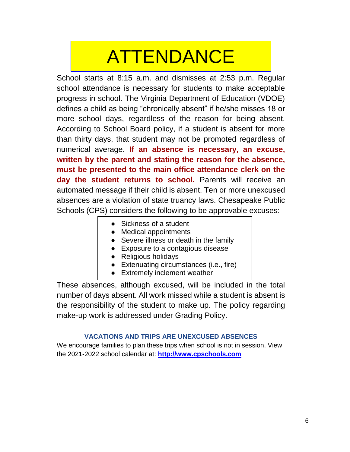# <span id="page-5-0"></span>ATTENDANCE

School starts at 8:15 a.m. and dismisses at 2:53 p.m. Regular school attendance is necessary for students to make acceptable progress in school. The Virginia Department of Education (VDOE) defines a child as being "chronically absent" if he/she misses 18 or more school days, regardless of the reason for being absent. According to School Board policy, if a student is absent for more than thirty days, that student may not be promoted regardless of numerical average. **If an absence is necessary, an excuse, written by the parent and stating the reason for the absence, must be presented to the main office attendance clerk on the day the student returns to school.** Parents will receive an automated message if their child is absent. Ten or more unexcused absences are a violation of state truancy laws. Chesapeake Public Schools (CPS) considers the following to be approvable excuses:

- Sickness of a student
- Medical appointments
- Severe illness or death in the family
- Exposure to a contagious disease
- Religious holidays
- Extenuating circumstances (i.e., fire)
- Extremely inclement weather

These absences, although excused, will be included in the total number of days absent. All work missed while a student is absent is the responsibility of the student to make up. The policy regarding make-up work is addressed under Grading Policy.

#### **VACATIONS AND TRIPS ARE UNEXCUSED ABSENCES**

We encourage families to plan these trips when school is not in session. View the 2021-2022 school calendar at: **[http://www.cpschools.com](http://www.cpschools.com/)**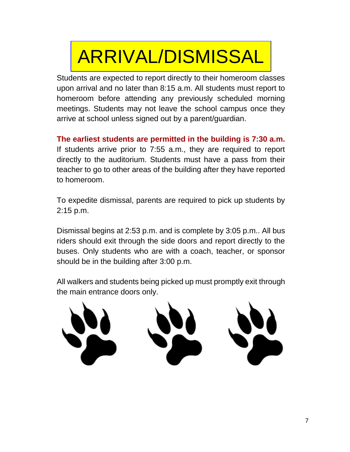# <span id="page-6-0"></span>ARRIVAL/DISMISSAL

Students are expected to report directly to their homeroom classes upon arrival and no later than 8:15 a.m. All students must report to homeroom before attending any previously scheduled morning meetings. Students may not leave the school campus once they arrive at school unless signed out by a parent/guardian.

**The earliest students are permitted in the building is 7:30 a.m.**  If students arrive prior to 7:55 a.m., they are required to report directly to the auditorium. Students must have a pass from their teacher to go to other areas of the building after they have reported to homeroom.

To expedite dismissal, parents are required to pick up students by 2:15 p.m.

Dismissal begins at 2:53 p.m. and is complete by 3:05 p.m.. All bus riders should exit through the side doors and report directly to the buses. Only students who are with a coach, teacher, or sponsor should be in the building after 3:00 p.m.

All walkers and students being picked up must promptly exit through the main entrance doors only.

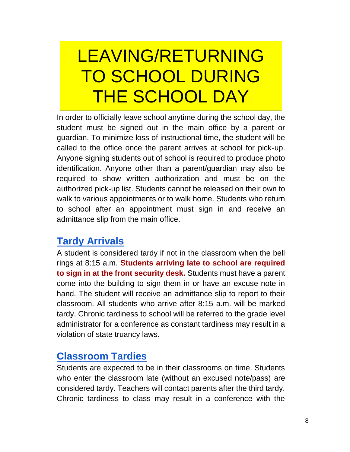## <span id="page-7-0"></span>LEAVING/RETURNING TO SCHOOL DURING THE SCHOOL DAY

In order to officially leave school anytime during the school day, the student must be signed out in the main office by a parent or guardian. To minimize loss of instructional time, the student will be called to the office once the parent arrives at school for pick-up. Anyone signing students out of school is required to produce photo identification. Anyone other than a parent/guardian may also be required to show written authorization and must be on the authorized pick-up list. Students cannot be released on their own to walk to various appointments or to walk home. Students who return to school after an appointment must sign in and receive an admittance slip from the main office.

### **Tardy Arrivals**

A student is considered tardy if not in the classroom when the bell rings at 8:15 a.m. **Students arriving late to school are required to sign in at the front security desk.** Students must have a parent come into the building to sign them in or have an excuse note in hand. The student will receive an admittance slip to report to their classroom. All students who arrive after 8:15 a.m. will be marked tardy. Chronic tardiness to school will be referred to the grade level administrator for a conference as constant tardiness may result in a violation of state truancy laws.

### **Classroom Tardies**

Students are expected to be in their classrooms on time. Students who enter the classroom late (without an excused note/pass) are considered tardy. Teachers will contact parents after the third tardy. Chronic tardiness to class may result in a conference with the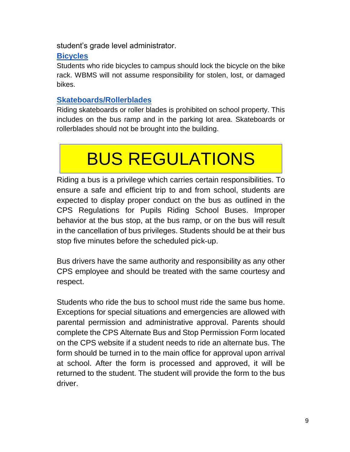student's grade level administrator.

#### **Bicycles**

Students who ride bicycles to campus should lock the bicycle on the bike rack. WBMS will not assume responsibility for stolen, lost, or damaged bikes.

#### **Skateboards/Rollerblades**

Riding skateboards or roller blades is prohibited on school property. This includes on the bus ramp and in the parking lot area. Skateboards or rollerblades should not be brought into the building.

# <span id="page-8-0"></span>BUS REGULATIONS

Riding a bus is a privilege which carries certain responsibilities. To ensure a safe and efficient trip to and from school, students are expected to display proper conduct on the bus as outlined in the CPS Regulations for Pupils Riding School Buses. Improper behavior at the bus stop, at the bus ramp, or on the bus will result in the cancellation of bus privileges. Students should be at their bus stop five minutes before the scheduled pick-up.

Bus drivers have the same authority and responsibility as any other CPS employee and should be treated with the same courtesy and respect.

Students who ride the bus to school must ride the same bus home. Exceptions for special situations and emergencies are allowed with parental permission and administrative approval. Parents should complete the CPS Alternate Bus and Stop Permission Form located on the CPS website if a student needs to ride an alternate bus. The form should be turned in to the main office for approval upon arrival at school. After the form is processed and approved, it will be returned to the student. The student will provide the form to the bus driver.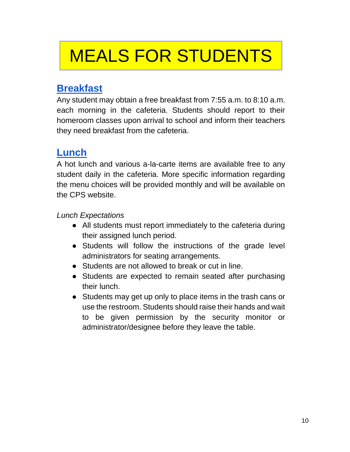## <span id="page-9-0"></span>MEALS FOR STUDENTS

### **Breakfast**

Any student may obtain a free breakfast from 7:55 a.m. to 8:10 a.m. each morning in the cafeteria. Students should report to their homeroom classes upon arrival to school and inform their teachers they need breakfast from the cafeteria.

### **Lunch**

A hot lunch and various a-la-carte items are available free to any student daily in the cafeteria. More specific information regarding the menu choices will be provided monthly and will be available on the CPS website.

#### *Lunch Expectations*

- All students must report immediately to the cafeteria during their assigned lunch period.
- Students will follow the instructions of the grade level administrators for seating arrangements.
- Students are not allowed to break or cut in line.
- Students are expected to remain seated after purchasing their lunch.
- Students may get up only to place items in the trash cans or use the restroom. Students should raise their hands and wait to be given permission by the security monitor or administrator/designee before they leave the table.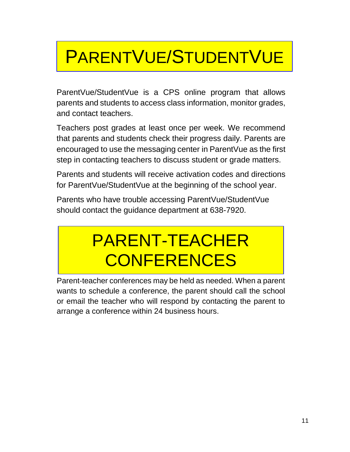# <span id="page-10-0"></span>PARENTVUE/STUDENTVUE

ParentVue/StudentVue is a CPS online program that allows parents and students to access class information, monitor grades, and contact teachers.

Teachers post grades at least once per week. We recommend that parents and students check their progress daily. Parents are encouraged to use the messaging center in ParentVue as the first step in contacting teachers to discuss student or grade matters.

Parents and students will receive activation codes and directions for ParentVue/StudentVue at the beginning of the school year.

Parents who have trouble accessing ParentVue/StudentVue should contact the guidance department at 638-7920.

## PARENT-TEACHER **CONFERENCES**

Parent-teacher conferences may be held as needed. When a parent wants to schedule a conference, the parent should call the school or email the teacher who will respond by contacting the parent to arrange a conference within 24 business hours.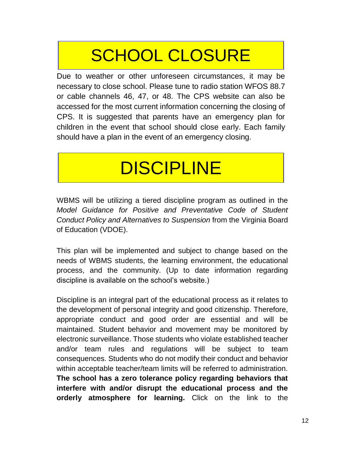## SCHOOL CLOSURE

<span id="page-11-0"></span>Due to weather or other unforeseen circumstances, it may be necessary to close school. Please tune to radio station WFOS 88.7 or cable channels 46, 47, or 48. The CPS website can also be accessed for the most current information concerning the closing of CPS. It is suggested that parents have an emergency plan for children in the event that school should close early. Each family should have a plan in the event of an emergency closing.

# DISCIPLINE

<span id="page-11-1"></span>WBMS will be utilizing a tiered discipline program as outlined in the *Model Guidance for Positive and Preventative Code of Student Conduct Policy and Alternatives to Suspension* from the Virginia Board of Education (VDOE).

This plan will be implemented and subject to change based on the needs of WBMS students, the learning environment, the educational process, and the community. (Up to date information regarding discipline is available on the school's website.)

Discipline is an integral part of the educational process as it relates to the development of personal integrity and good citizenship. Therefore, appropriate conduct and good order are essential and will be maintained. Student behavior and movement may be monitored by electronic surveillance. Those students who violate established teacher and/or team rules and regulations will be subject to team consequences. Students who do not modify their conduct and behavior within acceptable teacher/team limits will be referred to administration. **The school has a zero tolerance policy regarding behaviors that interfere with and/or disrupt the educational process and the orderly atmosphere for learning.** Click on the link to the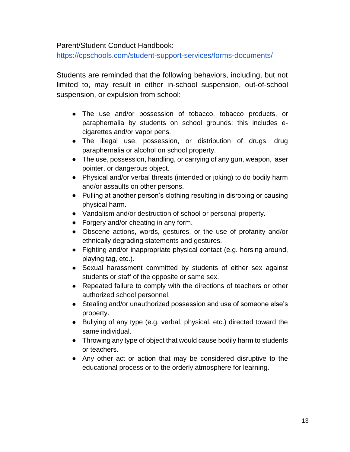Parent/Student Conduct Handbook:

<https://cpschools.com/student-support-services/forms-documents/>

Students are reminded that the following behaviors, including, but not limited to, may result in either in-school suspension, out-of-school suspension, or expulsion from school:

- The use and/or possession of tobacco, tobacco products, or paraphernalia by students on school grounds; this includes ecigarettes and/or vapor pens.
- The illegal use, possession, or distribution of drugs, drug paraphernalia or alcohol on school property.
- The use, possession, handling, or carrying of any gun, weapon, laser pointer, or dangerous object.
- Physical and/or verbal threats (intended or joking) to do bodily harm and/or assaults on other persons.
- Pulling at another person's clothing resulting in disrobing or causing physical harm.
- Vandalism and/or destruction of school or personal property.
- Forgery and/or cheating in any form.
- Obscene actions, words, gestures, or the use of profanity and/or ethnically degrading statements and gestures.
- Fighting and/or inappropriate physical contact (e.g. horsing around, playing tag, etc.).
- Sexual harassment committed by students of either sex against students or staff of the opposite or same sex.
- Repeated failure to comply with the directions of teachers or other authorized school personnel.
- Stealing and/or unauthorized possession and use of someone else's property.
- Bullying of any type (e.g. verbal, physical, etc.) directed toward the same individual.
- Throwing any type of object that would cause bodily harm to students or teachers.
- Any other act or action that may be considered disruptive to the educational process or to the orderly atmosphere for learning.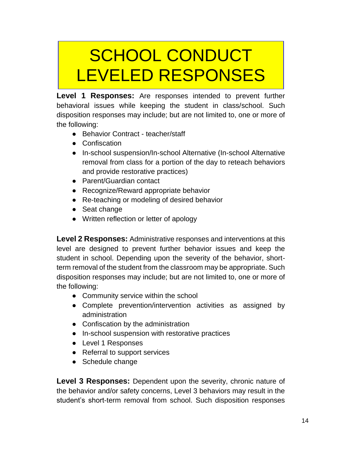## SCHOOL CONDUCT LEVELED RESPONSES

**Level 1 Responses:** Are responses intended to prevent further behavioral issues while keeping the student in class/school. Such disposition responses may include; but are not limited to, one or more of the following:

- Behavior Contract teacher/staff
- Confiscation
- In-school suspension/In-school Alternative (In-school Alternative removal from class for a portion of the day to reteach behaviors and provide restorative practices)
- Parent/Guardian contact
- Recognize/Reward appropriate behavior
- Re-teaching or modeling of desired behavior
- Seat change
- Written reflection or letter of apology

**Level 2 Responses:** Administrative responses and interventions at this level are designed to prevent further behavior issues and keep the student in school. Depending upon the severity of the behavior, shortterm removal of the student from the classroom may be appropriate. Such disposition responses may include; but are not limited to, one or more of the following:

- Community service within the school
- Complete prevention/intervention activities as assigned by administration
- Confiscation by the administration
- In-school suspension with restorative practices
- Level 1 Responses
- Referral to support services
- Schedule change

Level 3 Responses: Dependent upon the severity, chronic nature of the behavior and/or safety concerns, Level 3 behaviors may result in the student's short-term removal from school. Such disposition responses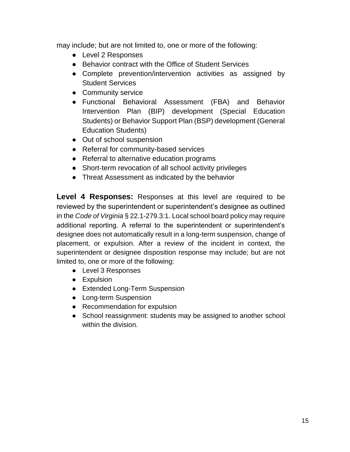may include; but are not limited to, one or more of the following:

- Level 2 Responses
- Behavior contract with the Office of Student Services
- Complete prevention/intervention activities as assigned by Student Services
- Community service
- Functional Behavioral Assessment (FBA) and Behavior Intervention Plan (BIP) development (Special Education Students) or Behavior Support Plan (BSP) development (General Education Students)
- Out of school suspension
- Referral for community-based services
- Referral to alternative education programs
- Short-term revocation of all school activity privileges
- Threat Assessment as indicated by the behavior

**Level 4 Responses:** Responses at this level are required to be reviewed by the superintendent or superintendent's designee as outlined in the *Code of Virginia* § 22.1-279.3:1. Local school board policy may require additional reporting. A referral to the superintendent or superintendent's designee does not automatically result in a long-term suspension, change of placement, or expulsion. After a review of the incident in context, the superintendent or designee disposition response may include; but are not limited to, one or more of the following:

- Level 3 Responses
- **•** Expulsion
- Extended Long-Term Suspension
- Long-term Suspension
- Recommendation for expulsion
- School reassignment: students may be assigned to another school within the division.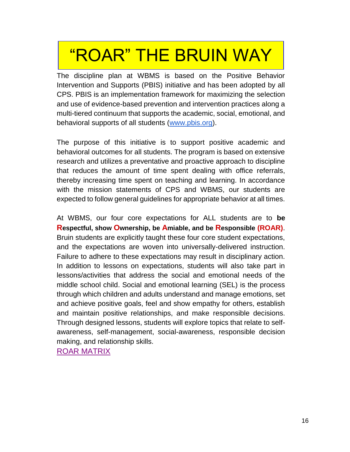## "ROAR" THE BRUIN WAY

The discipline plan at WBMS is based on the Positive Behavior Intervention and Supports (PBIS) initiative and has been adopted by all CPS. PBIS is an implementation framework for maximizing the selection and use of evidence-based prevention and intervention practices along a multi-tiered continuum that supports the academic, social, emotional, and behavioral supports of all students [\(www.pbis.org\)](http://www.pbis.org/).

The purpose of this initiative is to support positive academic and behavioral outcomes for all students. The program is based on extensive research and utilizes a preventative and proactive approach to discipline that reduces the amount of time spent dealing with office referrals, thereby increasing time spent on teaching and learning. In accordance with the mission statements of CPS and WBMS, our students are expected to follow general guidelines for appropriate behavior at all times.

At WBMS, our four core expectations for ALL students are to **be Respectful, show Ownership, be Amiable, and be Responsible (ROAR)**. Bruin students are explicitly taught these four core student expectations, and the expectations are woven into universally-delivered instruction. Failure to adhere to these expectations may result in disciplinary action. In addition to lessons on expectations, students will also take part in lessons/activities that address the social and emotional needs of the middle school child. Social and emotional learning (SEL) is the process through which children and adults understand and manage emotions, set and achieve positive goals, feel and show empathy for others, establish and maintain positive relationships, and make responsible decisions. Through designed lessons, students will explore topics that relate to selfawareness, self-management, social-awareness, responsible decision making, and relationship skills.

[ROAR MATRIX](#page-33-0)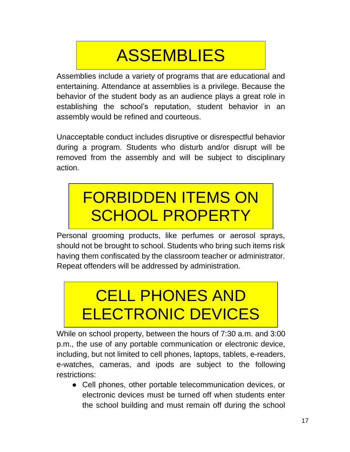## ASSEMBLIES

<span id="page-16-0"></span>Assemblies include a variety of programs that are educational and entertaining. Attendance at assemblies is a privilege. Because the behavior of the student body as an audience plays a great role in establishing the school's reputation, student behavior in an assembly would be refined and courteous.

Unacceptable conduct includes disruptive or disrespectful behavior during a program. Students who disturb and/or disrupt will be removed from the assembly and will be subject to disciplinary action.

## <span id="page-16-1"></span>FORBIDDEN ITEMS ON SCHOOL PROPERTY

Personal grooming products, like perfumes or aerosol sprays, should not be brought to school. Students who bring such items risk having them confiscated by the classroom teacher or administrator. Repeat offenders will be addressed by administration.

## <span id="page-16-2"></span>CELL PHONES AND ELECTRONIC DEVICES

While on school property, between the hours of 7:30 a.m. and 3:00 p.m., the use of any portable communication or electronic device, including, but not limited to cell phones, laptops, tablets, e-readers, e-watches, cameras, and ipods are subject to the following restrictions:

● Cell phones, other portable telecommunication devices, or electronic devices must be turned off when students enter the school building and must remain off during the school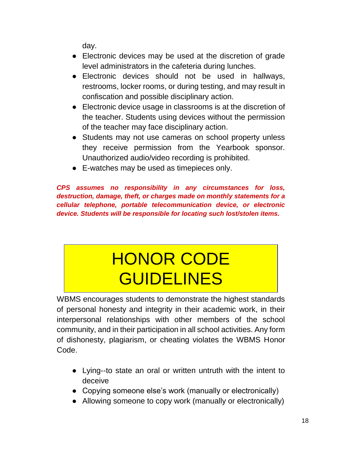day.

- Electronic devices may be used at the discretion of grade level administrators in the cafeteria during lunches.
- Electronic devices should not be used in hallways, restrooms, locker rooms, or during testing, and may result in confiscation and possible disciplinary action.
- Electronic device usage in classrooms is at the discretion of the teacher. Students using devices without the permission of the teacher may face disciplinary action.
- Students may not use cameras on school property unless they receive permission from the Yearbook sponsor. Unauthorized audio/video recording is prohibited.
- E-watches may be used as timepieces only.

*CPS assumes no responsibility in any circumstances for loss, destruction, damage, theft, or charges made on monthly statements for a cellular telephone, portable telecommunication device, or electronic device. Students will be responsible for locating such lost/stolen items.*

## HONOR CODE GUIDELINES

<span id="page-17-0"></span>WBMS encourages students to demonstrate the highest standards of personal honesty and integrity in their academic work, in their interpersonal relationships with other members of the school community, and in their participation in all school activities. Any form of dishonesty, plagiarism, or cheating violates the WBMS Honor Code.

- Lying--to state an oral or written untruth with the intent to deceive
- Copying someone else's work (manually or electronically)
- Allowing someone to copy work (manually or electronically)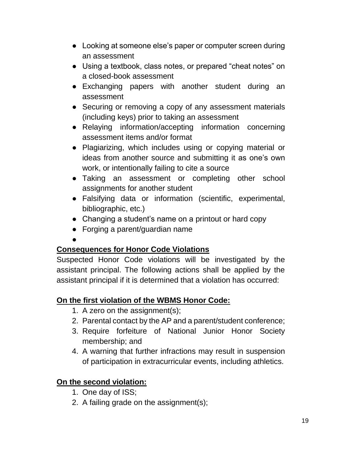- Looking at someone else's paper or computer screen during an assessment
- Using a textbook, class notes, or prepared "cheat notes" on a closed-book assessment
- Exchanging papers with another student during an assessment
- Securing or removing a copy of any assessment materials (including keys) prior to taking an assessment
- Relaying information/accepting information concerning assessment items and/or format
- Plagiarizing, which includes using or copying material or ideas from another source and submitting it as one's own work, or intentionally failing to cite a source
- Taking an assessment or completing other school assignments for another student
- Falsifying data or information (scientific, experimental, bibliographic, etc.)
- Changing a student's name on a printout or hard copy
- Forging a parent/guardian name
- ●

#### **Consequences for Honor Code Violations**

Suspected Honor Code violations will be investigated by the assistant principal. The following actions shall be applied by the assistant principal if it is determined that a violation has occurred:

#### **On the first violation of the WBMS Honor Code:**

- 1. A zero on the assignment(s);
- 2. Parental contact by the AP and a parent/student conference;
- 3. Require forfeiture of National Junior Honor Society membership; and
- 4. A warning that further infractions may result in suspension of participation in extracurricular events, including athletics.

#### **On the second violation:**

- 1. One day of ISS;
- 2. A failing grade on the assignment(s);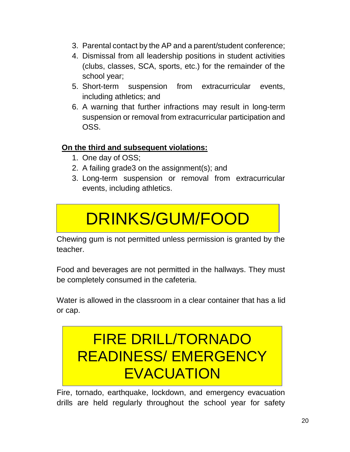- 3. Parental contact by the AP and a parent/student conference;
- 4. Dismissal from all leadership positions in student activities (clubs, classes, SCA, sports, etc.) for the remainder of the school year;
- 5. Short-term suspension from extracurricular events, including athletics; and
- 6. A warning that further infractions may result in long-term suspension or removal from extracurricular participation and OSS.

#### **On the third and subsequent violations:**

- 1. One day of OSS;
- 2. A failing grade3 on the assignment(s); and
- 3. Long-term suspension or removal from extracurricular events, including athletics.

## DRINKS/GUM/FOOD

<span id="page-19-0"></span>Chewing gum is not permitted unless permission is granted by the teacher.

Food and beverages are not permitted in the hallways. They must be completely consumed in the cafeteria.

<span id="page-19-1"></span>Water is allowed in the classroom in a clear container that has a lid or cap.

### FIRE DRILL/TORNADO READINESS/ EMERGENCY **EVACUATION**

Fire, tornado, earthquake, lockdown, and emergency evacuation drills are held regularly throughout the school year for safety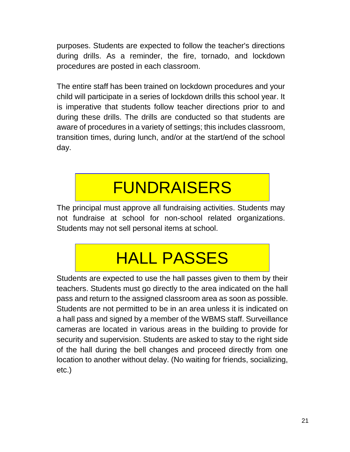purposes. Students are expected to follow the teacher's directions during drills. As a reminder, the fire, tornado, and lockdown procedures are posted in each classroom.

The entire staff has been trained on lockdown procedures and your child will participate in a series of lockdown drills this school year. It is imperative that students follow teacher directions prior to and during these drills. The drills are conducted so that students are aware of procedures in a variety of settings; this includes classroom, transition times, during lunch, and/or at the start/end of the school day.

## **FUNDRAISERS**

<span id="page-20-0"></span>The principal must approve all fundraising activities. Students may not fundraise at school for non-school related organizations. Students may not sell personal items at school.

## HALL PASSES

<span id="page-20-1"></span>Students are expected to use the hall passes given to them by their teachers. Students must go directly to the area indicated on the hall pass and return to the assigned classroom area as soon as possible. Students are not permitted to be in an area unless it is indicated on a hall pass and signed by a member of the WBMS staff. Surveillance cameras are located in various areas in the building to provide for security and supervision. Students are asked to stay to the right side of the hall during the bell changes and proceed directly from one location to another without delay. (No waiting for friends, socializing, etc.)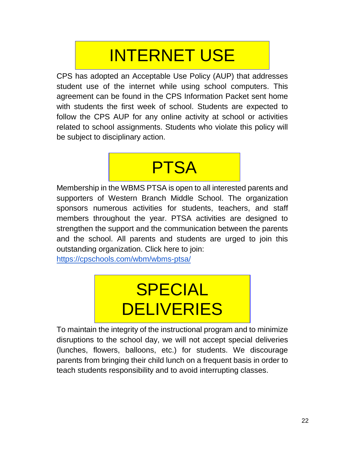## INTERNET USE

<span id="page-21-0"></span>CPS has adopted an Acceptable Use Policy (AUP) that addresses student use of the internet while using school computers. This agreement can be found in the CPS Information Packet sent home with students the first week of school. Students are expected to follow the CPS AUP for any online activity at school or activities related to school assignments. Students who violate this policy will be subject to disciplinary action.

### <span id="page-21-1"></span>PTSA

Membership in the WBMS PTSA is open to all interested parents and supporters of Western Branch Middle School. The organization sponsors numerous activities for students, teachers, and staff members throughout the year. PTSA activities are designed to strengthen the support and the communication between the parents and the school. All parents and students are urged to join this outstanding organization. Click here to join:

<span id="page-21-2"></span><https://cpschools.com/wbm/wbms-ptsa/>

# SPECIAL **DELIVERIES**

To maintain the integrity of the instructional program and to minimize disruptions to the school day, we will not accept special deliveries (lunches, flowers, balloons, etc.) for students. We discourage parents from bringing their child lunch on a frequent basis in order to teach students responsibility and to avoid interrupting classes.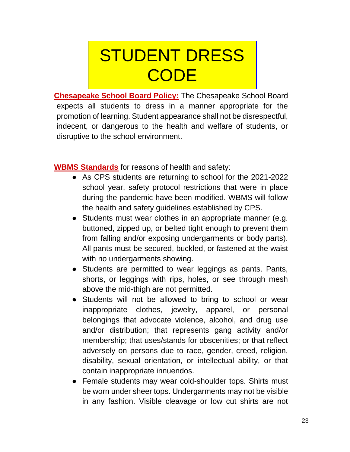## <span id="page-22-0"></span>STUDENT DRESS **CODE**

**Chesapeake School Board Policy:** The Chesapeake School Board expects all students to dress in a manner appropriate for the promotion of learning. Student appearance shall not be disrespectful, indecent, or dangerous to the health and welfare of students, or disruptive to the school environment.

**WBMS Standards** for reasons of health and safety:

- As CPS students are returning to school for the 2021-2022 school year, safety protocol restrictions that were in place during the pandemic have been modified. WBMS will follow the health and safety guidelines established by CPS.
- Students must wear clothes in an appropriate manner (e.g. buttoned, zipped up, or belted tight enough to prevent them from falling and/or exposing undergarments or body parts). All pants must be secured, buckled, or fastened at the waist with no undergarments showing.
- Students are permitted to wear leggings as pants. Pants, shorts, or leggings with rips, holes, or see through mesh above the mid-thigh are not permitted.
- Students will not be allowed to bring to school or wear inappropriate clothes, jewelry, apparel, or personal belongings that advocate violence, alcohol, and drug use and/or distribution; that represents gang activity and/or membership; that uses/stands for obscenities; or that reflect adversely on persons due to race, gender, creed, religion, disability, sexual orientation, or intellectual ability, or that contain inappropriate innuendos.
- Female students may wear cold-shoulder tops. Shirts must be worn under sheer tops. Undergarments may not be visible in any fashion. Visible cleavage or low cut shirts are not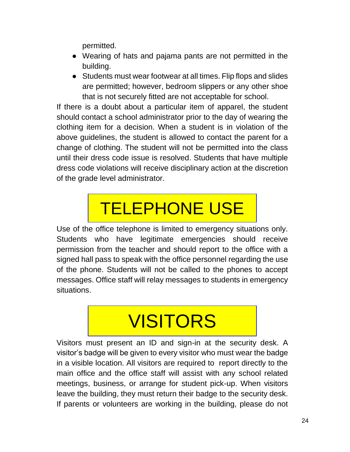permitted.

- Wearing of hats and pajama pants are not permitted in the building.
- Students must wear footwear at all times. Flip flops and slides are permitted; however, bedroom slippers or any other shoe that is not securely fitted are not acceptable for school.

If there is a doubt about a particular item of apparel, the student should contact a school administrator prior to the day of wearing the clothing item for a decision. When a student is in violation of the above guidelines, the student is allowed to contact the parent for a change of clothing. The student will not be permitted into the class until their dress code issue is resolved. Students that have multiple dress code violations will receive disciplinary action at the discretion of the grade level administrator.

# TELEPHONE USE

<span id="page-23-0"></span>Use of the office telephone is limited to emergency situations only. Students who have legitimate emergencies should receive permission from the teacher and should report to the office with a signed hall pass to speak with the office personnel regarding the use of the phone. Students will not be called to the phones to accept messages. Office staff will relay messages to students in emergency situations.

## VISITORS

<span id="page-23-1"></span>Visitors must present an ID and sign-in at the security desk. A visitor's badge will be given to every visitor who must wear the badge in a visible location. All visitors are required to report directly to the main office and the office staff will assist with any school related meetings, business, or arrange for student pick-up. When visitors leave the building, they must return their badge to the security desk. If parents or volunteers are working in the building, please do not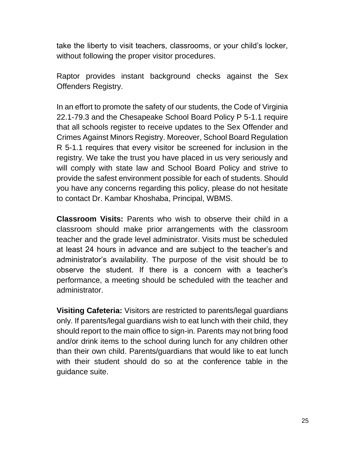take the liberty to visit teachers, classrooms, or your child's locker, without following the proper visitor procedures.

Raptor provides instant background checks against the Sex Offenders Registry.

In an effort to promote the safety of our students, the Code of Virginia 22.1-79.3 and the Chesapeake School Board Policy P 5-1.1 require that all schools register to receive updates to the Sex Offender and Crimes Against Minors Registry. Moreover, School Board Regulation R 5-1.1 requires that every visitor be screened for inclusion in the registry. We take the trust you have placed in us very seriously and will comply with state law and School Board Policy and strive to provide the safest environment possible for each of students. Should you have any concerns regarding this policy, please do not hesitate to contact Dr. Kambar Khoshaba, Principal, WBMS.

**Classroom Visits:** Parents who wish to observe their child in a classroom should make prior arrangements with the classroom teacher and the grade level administrator. Visits must be scheduled at least 24 hours in advance and are subject to the teacher's and administrator's availability. The purpose of the visit should be to observe the student. If there is a concern with a teacher's performance, a meeting should be scheduled with the teacher and administrator.

**Visiting Cafeteria:** Visitors are restricted to parents/legal guardians only. If parents/legal guardians wish to eat lunch with their child, they should report to the main office to sign-in. Parents may not bring food and/or drink items to the school during lunch for any children other than their own child. Parents/guardians that would like to eat lunch with their student should do so at the conference table in the guidance suite.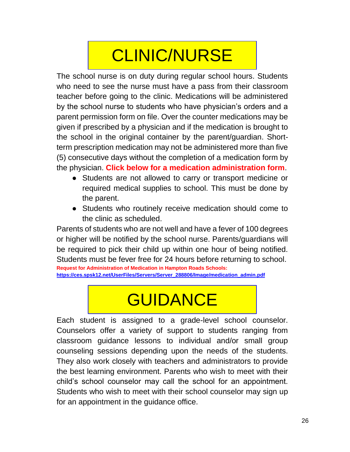## CLINIC/NURSE

<span id="page-25-0"></span>The school nurse is on duty during regular school hours. Students who need to see the nurse must have a pass from their classroom teacher before going to the clinic. Medications will be administered by the school nurse to students who have physician's orders and a parent permission form on file. Over the counter medications may be given if prescribed by a physician and if the medication is brought to the school in the original container by the parent/guardian. Shortterm prescription medication may not be administered more than five (5) consecutive days without the completion of a medication form by the physician. **Click below for a medication administration form**.

- Students are not allowed to carry or transport medicine or required medical supplies to school. This must be done by the parent.
- Students who routinely receive medication should come to the clinic as scheduled.

Parents of students who are not well and have a fever of 100 degrees or higher will be notified by the school nurse. Parents/guardians will be required to pick their child up within one hour of being notified. Students must be fever free for 24 hours before returning to school. **Request for Administration of Medication in Hampton Roads Schools:**

<span id="page-25-1"></span>**[https://ces.spsk12.net/UserFiles/Servers/Server\\_288806/Image/medication\\_admin.pdf](https://ces.spsk12.net/UserFiles/Servers/Server_288806/Image/medication_admin.pdf)**

## **GUIDANCE**

Each student is assigned to a grade-level school counselor. Counselors offer a variety of support to students ranging from classroom guidance lessons to individual and/or small group counseling sessions depending upon the needs of the students. They also work closely with teachers and administrators to provide the best learning environment. Parents who wish to meet with their child's school counselor may call the school for an appointment. Students who wish to meet with their school counselor may sign up for an appointment in the guidance office.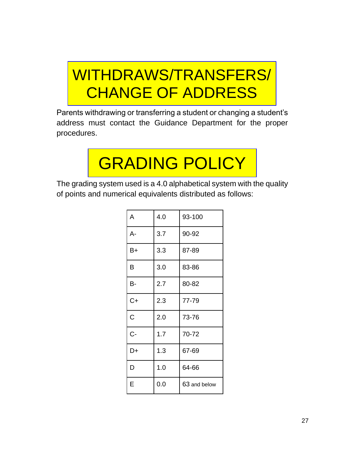## WITHDRAWS/TRANSFERS/ CHANGE OF ADDRESS

Parents withdrawing or transferring a student or changing a student's address must contact the Guidance Department for the proper procedures.

# GRADING POLICY

<span id="page-26-0"></span>The grading system used is a 4.0 alphabetical system with the quality of points and numerical equivalents distributed as follows:

| A     | 4.0 | 93-100       |  |
|-------|-----|--------------|--|
| A-    | 3.7 | 90-92        |  |
| $B+$  | 3.3 | 87-89        |  |
| B     | 3.0 | 83-86        |  |
| B-    | 2.7 | 80-82        |  |
| $C+$  | 2.3 | 77-79        |  |
| C     | 2.0 | 73-76        |  |
| $C -$ | 1.7 | 70-72        |  |
| D+    | 1.3 | 67-69        |  |
| D     | 1.0 | 64-66        |  |
| E     | 0.0 | 63 and below |  |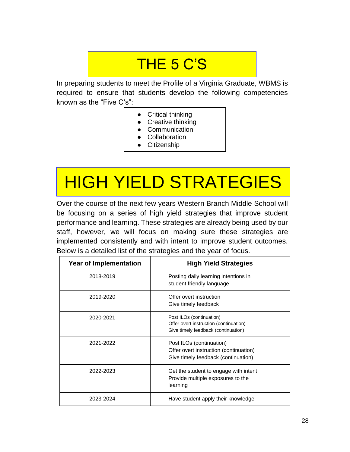### THE 5 C'S

<span id="page-27-0"></span>In preparing students to meet the Profile of a Virginia Graduate, WBMS is required to ensure that students develop the following competencies known as the "Five C's":

- Critical thinking
- Creative thinking
- Communication
- Collaboration
- **Citizenship**

# <span id="page-27-1"></span>HIGH YIELD STRATEGIES

Over the course of the next few years Western Branch Middle School will be focusing on a series of high yield strategies that improve student performance and learning. These strategies are already being used by our staff, however, we will focus on making sure these strategies are implemented consistently and with intent to improve student outcomes. Below is a detailed list of the strategies and the year of focus.

| <b>Year of Implementation</b> | <b>High Yield Strategies</b>                                                                              |
|-------------------------------|-----------------------------------------------------------------------------------------------------------|
| 2018-2019                     | Posting daily learning intentions in<br>student friendly language                                         |
| 2019-2020                     | Offer overt instruction<br>Give timely feedback                                                           |
| 2020-2021                     | Post ILOs (continuation)<br>Offer overt instruction (continuation)<br>Give timely feedback (continuation) |
| 2021-2022                     | Post ILOs (continuation)<br>Offer overt instruction (continuation)<br>Give timely feedback (continuation) |
| 2022-2023                     | Get the student to engage with intent<br>Provide multiple exposures to the<br>learning                    |
| 2023-2024                     | Have student apply their knowledge                                                                        |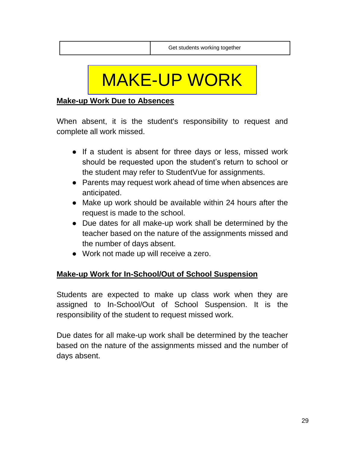## MAKE-UP WORK

#### <span id="page-28-0"></span>**Make-up Work Due to Absences**

When absent, it is the student's responsibility to request and complete all work missed.

- If a student is absent for three days or less, missed work should be requested upon the student's return to school or the student may refer to StudentVue for assignments.
- Parents may request work ahead of time when absences are anticipated.
- Make up work should be available within 24 hours after the request is made to the school.
- Due dates for all make-up work shall be determined by the teacher based on the nature of the assignments missed and the number of days absent.
- Work not made up will receive a zero.

#### **Make-up Work for In-School/Out of School Suspension**

Students are expected to make up class work when they are assigned to In-School/Out of School Suspension. It is the responsibility of the student to request missed work.

Due dates for all make-up work shall be determined by the teacher based on the nature of the assignments missed and the number of days absent.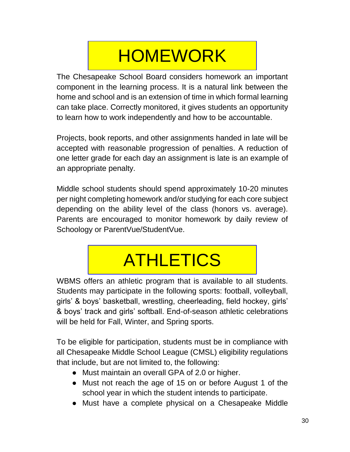## **HOMEWORK**

<span id="page-29-0"></span>The Chesapeake School Board considers homework an important component in the learning process. It is a natural link between the home and school and is an extension of time in which formal learning can take place. Correctly monitored, it gives students an opportunity to learn how to work independently and how to be accountable.

Projects, book reports, and other assignments handed in late will be accepted with reasonable progression of penalties. A reduction of one letter grade for each day an assignment is late is an example of an appropriate penalty.

Middle school students should spend approximately 10-20 minutes per night completing homework and/or studying for each core subject depending on the ability level of the class (honors vs. average). Parents are encouraged to monitor homework by daily review of Schoology or ParentVue/StudentVue.

# **ATHLETICS**

<span id="page-29-1"></span>WBMS offers an athletic program that is available to all students. Students may participate in the following sports: football, volleyball, girls' & boys' basketball, wrestling, cheerleading, field hockey, girls' & boys' track and girls' softball. End-of-season athletic celebrations will be held for Fall, Winter, and Spring sports.

To be eligible for participation, students must be in compliance with all Chesapeake Middle School League (CMSL) eligibility regulations that include, but are not limited to, the following:

- Must maintain an overall GPA of 2.0 or higher.
- Must not reach the age of 15 on or before August 1 of the school year in which the student intends to participate.
- Must have a complete physical on a Chesapeake Middle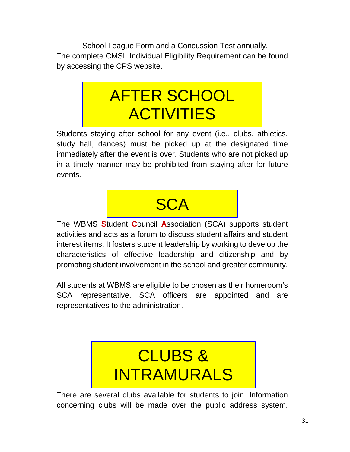<span id="page-30-0"></span>School League Form and a Concussion Test annually. The complete CMSL Individual Eligibility Requirement can be found by accessing the CPS website.

### AFTER SCHOOL **ACTIVITIES**

Students staying after school for any event (i.e., clubs, athletics, study hall, dances) must be picked up at the designated time immediately after the event is over. Students who are not picked up in a timely manner may be prohibited from staying after for future events.

### **SCA**

<span id="page-30-1"></span>The WBMS **S**tudent **C**ouncil **A**ssociation (SCA) supports student activities and acts as a forum to discuss student affairs and student interest items. It fosters student leadership by working to develop the characteristics of effective leadership and citizenship and by promoting student involvement in the school and greater community.

All students at WBMS are eligible to be chosen as their homeroom's SCA representative. SCA officers are appointed and are representatives to the administration.

## <span id="page-30-2"></span>CLUBS & INTRAMURALS

There are several clubs available for students to join. Information concerning clubs will be made over the public address system.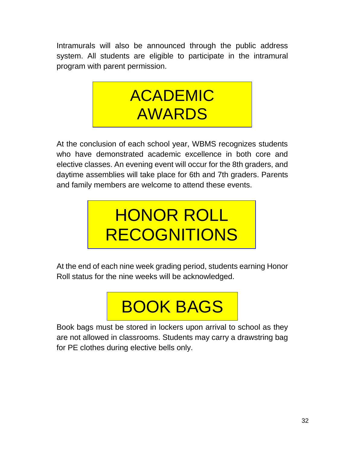<span id="page-31-0"></span>Intramurals will also be announced through the public address system. All students are eligible to participate in the intramural program with parent permission.



At the conclusion of each school year, WBMS recognizes students who have demonstrated academic excellence in both core and elective classes. An evening event will occur for the 8th graders, and daytime assemblies will take place for 6th and 7th graders. Parents and family members are welcome to attend these events.

## <span id="page-31-1"></span>HONOR ROLL RECOGNITIONS

<span id="page-31-2"></span>At the end of each nine week grading period, students earning Honor Roll status for the nine weeks will be acknowledged.

# BOOK BAGS

Book bags must be stored in lockers upon arrival to school as they are not allowed in classrooms. Students may carry a drawstring bag for PE clothes during elective bells only.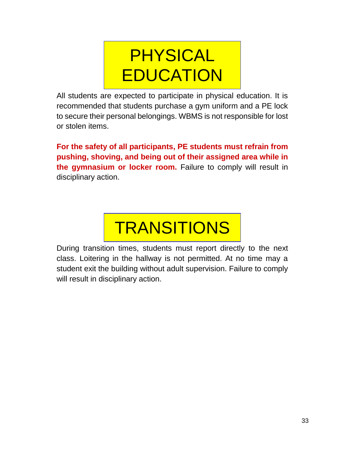## **PHYSICAL EDUCATION**

<span id="page-32-0"></span>All students are expected to participate in physical education. It is recommended that students purchase a gym uniform and a PE lock to secure their personal belongings. WBMS is not responsible for lost or stolen items.

**For the safety of all participants, PE students must refrain from pushing, shoving, and being out of their assigned area while in the gymnasium or locker room.** Failure to comply will result in disciplinary action.



<span id="page-32-1"></span>During transition times, students must report directly to the next class. Loitering in the hallway is not permitted. At no time may a student exit the building without adult supervision. Failure to comply will result in disciplinary action.